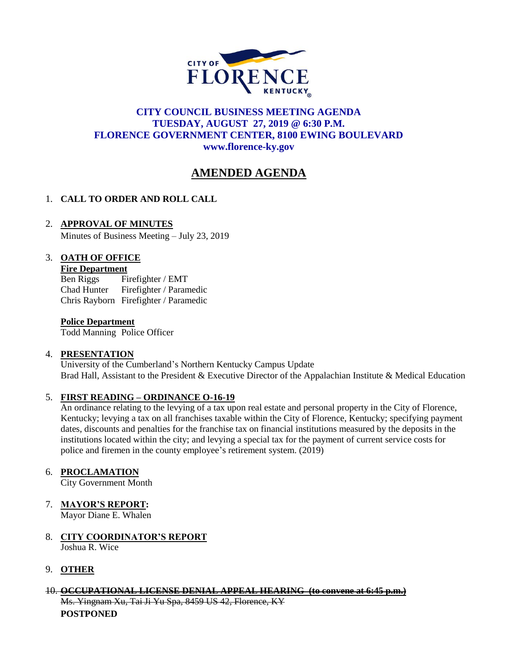

## **CITY COUNCIL BUSINESS MEETING AGENDA TUESDAY, AUGUST 27, 2019 @ 6:30 P.M. FLORENCE GOVERNMENT CENTER, 8100 EWING BOULEVARD [www.florence-ky.gov](http://www.florence-ky.gov/)**

# **AMENDED AGENDA**

# 1. **CALL TO ORDER AND ROLL CALL**

## 2. **APPROVAL OF MINUTES**

Minutes of Business Meeting – July 23, 2019

## 3. **OATH OF OFFICE**

#### **Fire Department**

Ben Riggs Firefighter / EMT Chad Hunter Firefighter / Paramedic Chris Rayborn Firefighter / Paramedic

#### **Police Department**

Todd Manning Police Officer

#### 4. **PRESENTATION**

University of the Cumberland's Northern Kentucky Campus Update Brad Hall, Assistant to the President & Executive Director of the Appalachian Institute & Medical Education

#### 5. **FIRST READING – ORDINANCE O-16-19**

An ordinance relating to the levying of a tax upon real estate and personal property in the City of Florence, Kentucky; levying a tax on all franchises taxable within the City of Florence, Kentucky; specifying payment dates, discounts and penalties for the franchise tax on financial institutions measured by the deposits in the institutions located within the city; and levying a special tax for the payment of current service costs for police and firemen in the county employee's retirement system. (2019)

#### 6. **PROCLAMATION**

City Government Month

#### 7. **MAYOR'S REPORT:**

Mayor Diane E. Whalen

8. **CITY COORDINATOR'S REPORT** Joshua R. Wice

## 9. **OTHER**

#### 10. **OCCUPATIONAL LICENSE DENIAL APPEAL HEARING (to convene at 6:45 p.m.)**

Ms. Yingnam Xu, Tai Ji Yu Spa, 8459 US 42, Florence, KY **POSTPONED**